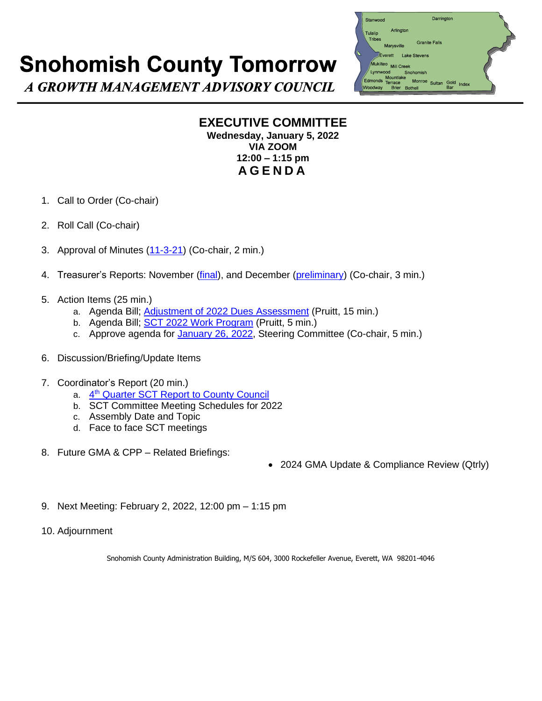## **Snohomish County Tomorrow**



A GROWTH MANAGEMENT ADVISORY COUNCIL

## **EXECUTIVE COMMITTEE Wednesday, January 5, 2022 VIA ZOOM 12:00 – 1:15 pm A G E N D A**

- 1. Call to Order (Co-chair)
- 2. Roll Call (Co-chair)
- 3. Approval of Minutes [\(11-3-21\)](https://www.snohomishcountywa.gov/DocumentCenter/View/87207/MINd-SCT-EC-110321) (Co-chair, 2 min.)
- 4. Treasurer's Reports: November [\(final\)](https://www.snohomishcountywa.gov/DocumentCenter/View/87208/Copy-of-SCT-Treas-Rpt-Actual-2021---11-Nov), and December [\(preliminary\)](https://www.snohomishcountywa.gov/DocumentCenter/View/87209/Copy-of-SCT-Treas-Rpt-Prelim-2021---12-Dec) (Co-chair, 3 min.)
- 5. Action Items (25 min.)
	- a. Agenda Bill; [Adjustment of 2022 Dues Assessment](https://www.snohomishcountywa.gov/DocumentCenter/View/87213/Agenda-Bill-2022-Dues-Assessments-REVISED-1-26-22) (Pruitt, 15 min.)
	- b. Agenda Bill; [SCT 2022 Work Program](https://www.snohomishcountywa.gov/DocumentCenter/View/87210/Agenda-Bill-2022-Work-Program-1-26-22) (Pruitt, 5 min.)
	- c. Approve agenda for [January 26, 2022,](https://www.snohomishcountywa.gov/DocumentCenter/View/87211/AGND-SCT-SC-DRAFT-012622) Steering Committee (Co-chair, 5 min.)
- 6. Discussion/Briefing/Update Items
- 7. Coordinator's Report (20 min.)
	- a. 4<sup>th</sup> [Quarter SCT Report to County Council](https://www.snohomishcountywa.gov/DocumentCenter/View/87212/4th-Quarter-Actions-Council-Transmittal-1-12-22)
	- b. SCT Committee Meeting Schedules for 2022
	- c. Assembly Date and Topic
	- d. Face to face SCT meetings
- 8. Future GMA & CPP Related Briefings:
- 2024 GMA Update & Compliance Review (Qtrly)
- 9. Next Meeting: February 2, 2022, 12:00 pm 1:15 pm
- 10. Adjournment

Snohomish County Administration Building, M/S 604, 3000 Rockefeller Avenue, Everett, WA 98201-4046